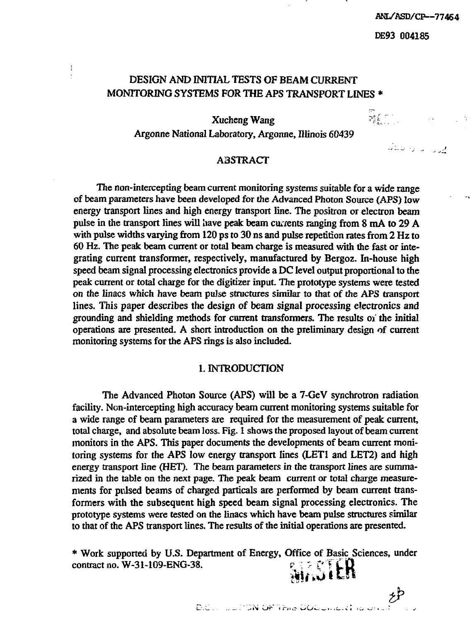**ANE/ASD/CP—77464**

**DE93 004185**

 $\sum_{i=1}^{n} \sum_{\substack{m=1\\ m \neq m}}^{n} \sum_{\substack{m=1\\ m \neq m}}^{n} \sum_{\substack{m=1\\ m \neq m}}^{n} \sum_{\substack{m=1\\ m \neq m}}^{n} \sum_{\substack{m=1\\ m \neq m}}^{n} \sum_{\substack{m=1\\ m \neq m}}^{n} \sum_{\substack{m=1\\ m \neq m}}^{n} \sum_{\substack{m=1\\ m \neq m}}^{n} \sum_{\substack{m=1\\ m \neq m}}^{n} \sum_{\substack{m=1\\ m \neq m}}^{n} \sum_{\substack{m=1$ 

الحصات المراد المناشف.<br>المنظمات

# DESIGN AND INITIAL TESTS OF BEAM CURRENT MONITORING SYSTEMS FOR THE APS TRANSPORT LINES \*

ł.

Xucheng Wang

Argonne National Laboratory, Argonne, Illinois 60439

#### ABSTRACT

The non-intercepting beam current monitoring systems suitable for a wide range of beam parameters have been developed for the Advanced Photon Source (APS) low energy transport lines and high energy transport line. The positron or electron beam pulse in the transport lines will have peak beam cur/ents ranging from 8 mA to 29 A with pulse widths varying from 120 ps to 30 ns and pulse repetition rates from 2 Hz to 60 Hz. The peak beam current or total beam charge is measured with the fast or integrating current transformer, respectively, manufactured by Bergoz. In-house high speed beam signal processing electronics provide a DC level output proportional to the peak current or total charge for the digitizer input. The prototype systems were tested on the linacs which have beam pulse structures similar to that of the APS transport lines. This paper describes the design of beam signal processing electronics and grounding and shielding methods for current transformers. The results on' the initial operations are presented. A short introduction on the preliminary design of current monitoring systems for the APS rings is also included.

#### 1. INTRODUCTION

The Advanced Photon Source (APS) will be a 7-GeV synchrotron radiation facility. Non-intercepting high accuracy beam current monitoring systems suitable for a wide range of beam parameters are required for the measurement of peak current, total charge, and absolute beam loss. Fig. 1 shows the proposed layout of beam current monitors in the APS. This paper documents the developments of beam current monitoring systems for the APS low energy transport lines (LET1 and LET2) and high energy transport line *(RET).* The beam parameters in the transport lines are summarized in the table on the next page. The peak beam current or total charge measurements for pulsed beams of charged particals are performed by beam current transformers with the subsequent high speed beam signal processing electronics. The prototype systems were tested on the linacs which have beam pulse structures similar to that of the APS transport lines. The results of the initial operations are presented.

\* Work supported by U.S. Department of Energy, Office of Basic Sciences, under<br>contract no. W-31-109-ENG-38. contract no. W-31-109-ENG-38.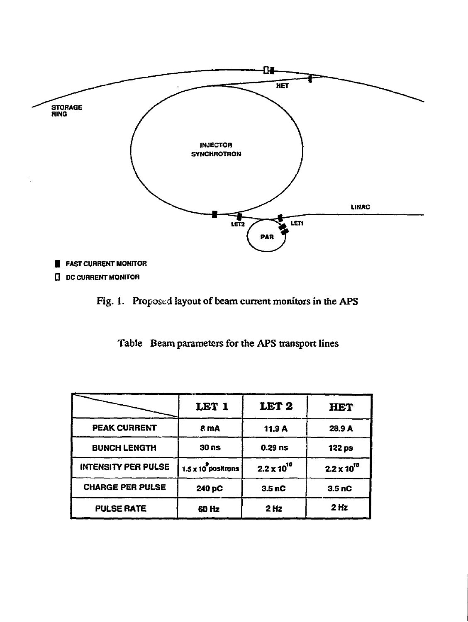

**D DC CURRENT MONITOR**

Fig. 1. Proposed layout of beam current monitors in the APS

|  |  | Table Beam parameters for the APS transport lines |  |  |  |  |  |
|--|--|---------------------------------------------------|--|--|--|--|--|
|--|--|---------------------------------------------------|--|--|--|--|--|

|                            | LET 1                         | LET <sub>2</sub>     | HET                  |  |
|----------------------------|-------------------------------|----------------------|----------------------|--|
| PEAK CURRENT               | 8 mA                          | 11.9 A               | 28.9 A               |  |
| <b>BUNCH LENGTH</b>        | 30 ns                         | $0.29$ ns            | 122 ps               |  |
| <b>INTENSITY PER PULSE</b> | $1.5 \times 10^{9}$ positrons | $2.2 \times 10^{10}$ | $2.2 \times 10^{10}$ |  |
| <b>CHARGE PER PULSE</b>    | 240 pC                        | 3.5 <sub>nC</sub>    | 3.5 <sub>nC</sub>    |  |
| <b>PULSE RATE</b>          | 60 Hz                         | 2 Hz                 | 2 <sub>Hz</sub>      |  |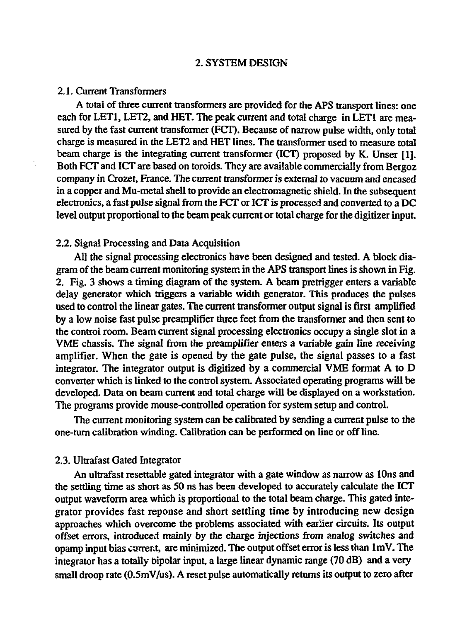#### 2. SYSTEM DESIGN

#### 2.1. Current Transformers

A total of three current transformers are provided for the APS transport lines: one each for LET1, LET2, and HET. The peak current and total charge in LET1 are measured by the fast current transformer (FCT). Because of narrow pulse width, only total charge is measured in the LET2 and HET lines. The transformer used to measure total beam charge is the integrating current transformer (ICT) proposed by K. Unser [1]. Both FCT and ICT are based on toroids. They are available commercially from Bergoz company in Crozet, France. The current transformer is external to vacuum and encased in a copper and Mu-metal shell to provide an electromagnetic shield. In the subsequent electronics, a fast pulse signal from the FCT or ICT is processed and converted to a DC level output proportional to the beam peak current or total charge for the digitizer input

#### 2.2. Signal Processing and Data Acquisition

All the signal processing electronics have been designed and tested. A block diagram of the beam current monitoring system in the APS transport lines is shown in Fig. 2. Fig. 3 shows a timing diagram of the system. A beam pretrigger enters a variable delay generator which triggers a variable width generator. This produces the pulses used to control the linear gates. The current transformer output signal is first amplified by a low noise fast pulse preamplifier three feet from the transformer and then sent to the control room. Beam current signal processing electronics occupy a single slot in a VME chassis. The signal from the preamplifier enters a variable gain line receiving amplifier. When the gate is opened by the gate pulse, the signal passes to a fast integrator. The integrator output is digitized by a commercial VME format A to D converter which is linked to the control system. Associated operating programs will be developed. Data on beam current and total charge will be displayed on a workstation. The programs provide mouse-controlled operation for system setup and control.

The current monitoring system can be calibrated by sending a current pulse to the one-turn calibration winding. Calibration can be performed on line or off line.

#### 2.3. Ultrafast Gated Integrator

An ultrafast resettable gated integrator with a gate window as narrow as 10ns and the settling time as short as SO ns has been developed to accurately calculate the ICT output waveform area which is proportional to the total beam charge. This gated integrator provides fast reponse and short settling time by introducing new design approaches which overcome the problems associated with earlier circuits. Its output offset errors, introduced mainly by the charge injections from analog switches and opamp input bias current, are minimized. The output offset error is less than imV. The integrator has a totally bipolar input, a large linear dynamic range {70 dB) and a very small droop rate (0.5mV/us). A reset pulse automatically returns its output to zero after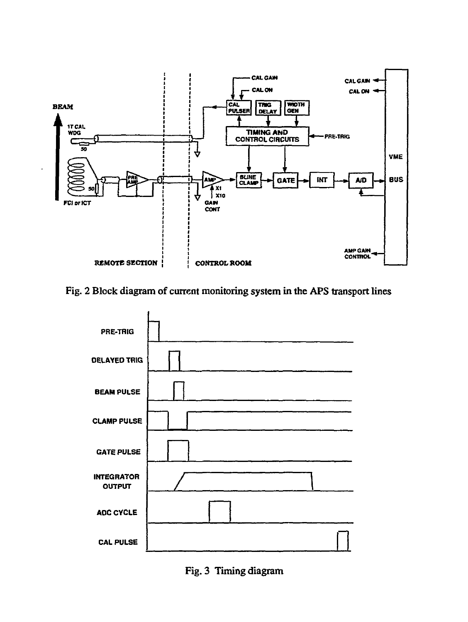

Fig. 2 Block diagram of current monitoring system in the APS transport lines



Fig. 3 Timing diagram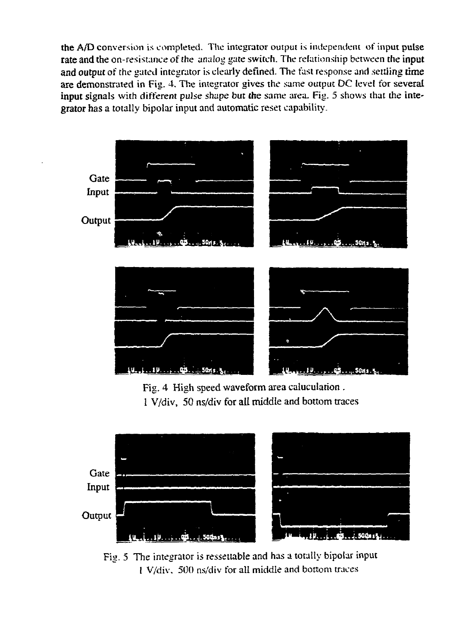**the** A/D conversion is completed. The integrator output is independent of input pulse rate and the on-resistance of the analog gate switch. The relationship between the **input and output** of the gated integrator is clearly defined. The fast response and settling **time** are demonstrated in Fig. 4. The integrator gives the same output DC level for several **input** signals with different pulse shape but **the** same area. Fig. 5 shows that the **integrator** has a totally bipolar input and automatic reset capability.



Fig. 4 High speed waveform area caluculation. 1 V/div, 50 ns/div for all middle and bottom traces



Fig. 5 The integrator is ressettable and has a totally bipolar input 1 V/div. 500 ns/div for all middle and bottom traces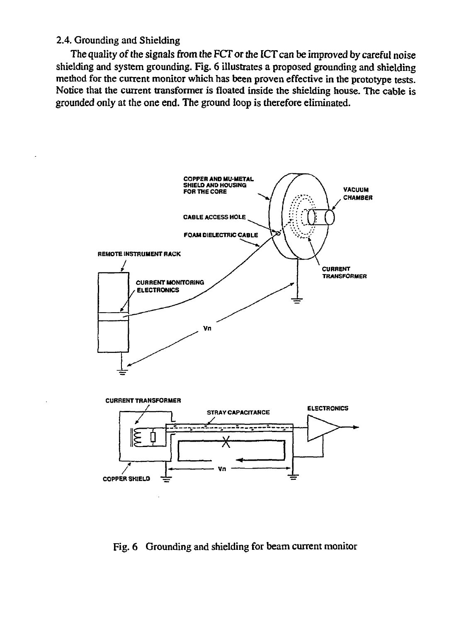## 2.4. Grounding and Shielding

The quality of the signals from the FCT or the ICT can be improved by careful noise shielding and system grounding. Fig. 6 illustrates a proposed grounding and shielding method for the current monitor which has been proven effective in the prototype tests. Notice that the current transformer is floated inside the shielding house. The cable is grounded only at the one end. The ground loop is therefore eliminated.



Fig. 6 Grounding and shielding for beam current monitor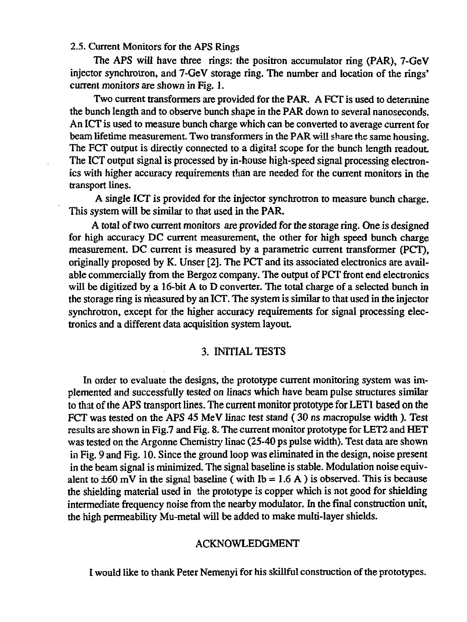#### 2.5. Current Monitors for the APS Rings

The APS will have three rings: the positron accumulator ring (PAR), 7-GeV injector synchrotron, and 7-GeV storage ring. The number and location of the rings' current monitors are shown in Fig. 1.

Two current transformers are provided for the PAR. A FCT is used to determine the bunch length and to observe bunch shape in the PAR down to several nanoseconds. An ICT is used to measure bunch charge which can be converted to average current for beam lifetime measurement. Two transformers in the PAR will share the same housing. The FCT output is directly connected to a digital scope for the bunch length readout. The ICT output signal is processed by in-house high-speed signal processing electronics with higher accuracy requirements than are needed for the current monitors in the transport lines.

A single ICT is provided for the injector synchrotron to measure bunch charge. This system will be similar to that used in the PAR.

A total of two current monitors are provided for the storage ring. One is designed for high accuracy DC current measurement, the other for high speed bunch charge measurement. DC current is measured by a parametric current transformer (PCT), originally proposed by K. Unser [2]. The PCT and its associated electronics are available commercially from the Bergoz company. The output of PCT front end electronics will be digitized by a 16-bit A to D converter. The total charge of a selected bunch in the storage ring is measured by an ICT. The system is similar to that used in the injector synchrotron, except for the higher accuracy requirements for signal processing electronics and a different data acquisition system layout.

#### 3. INITIAL TESTS

In order to evaluate the designs, the prototype current monitoring system was implemented and successfully tested on linacs which have beam pulse structures similar to that of the APS transport lines. The current monitor prototype for LET1 based on the FCT was tested on the APS 45 MeV linac test stand (30 ns macropulse width ). Test results are shown in Fig.7 and Fig. 8. The current monitor prototype for LET2 and HET was tested on the Argonne Chemistry linac (25-40 ps pulse width). Test data are shown in Fig. 9 and Fig. 10. Since the ground loop was eliminated in the design, noise present in the beam signal is minimized. The signal baseline is stable. Modulation noise equivalent to  $\pm 60$  mV in the signal baseline (with Ib = 1.6 A) is observed. This is because the shielding material used in the prototype is copper which is not good for shielding intermediate frequency noise from the nearby modulator. In the final construction unit, the high permeability Mu-metal will be added to make multi-layer shields.

#### ACKNOWLEDGMENT

I would like to thank Peter Nemenyi for his skillful construction of the prototypes.